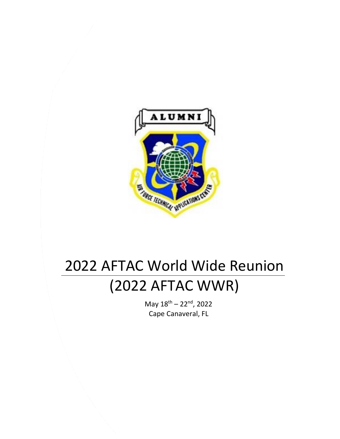

# 2022 AFTAC World Wide Reunion (2022 AFTAC WWR)

May  $18^{\text{th}} - 22^{\text{nd}}$ , 2022 Cape Canaveral, FL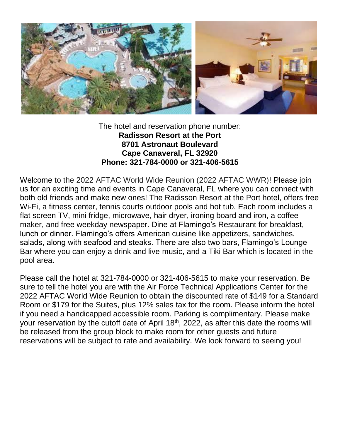

The hotel and reservation phone number: **Radisson Resort at the Port 8701 Astronaut Boulevard Cape Canaveral, FL 32920 Phone: 321-784-0000 or 321-406-5615**

Welcome to the 2022 AFTAC World Wide Reunion (2022 AFTAC WWR)! Please join us for an exciting time and events in Cape Canaveral, FL where you can connect with both old friends and make new ones! The Radisson Resort at the Port hotel, offers free Wi-Fi, a fitness center, tennis courts outdoor pools and hot tub. Each room includes a flat screen TV, mini fridge, microwave, hair dryer, ironing board and iron, a coffee maker, and free weekday newspaper. Dine at Flamingo's Restaurant for breakfast, lunch or dinner. Flamingo's offers American cuisine like appetizers, sandwiches, salads, along with seafood and steaks. There are also two bars, Flamingo's Lounge Bar where you can enjoy a drink and live music, and a Tiki Bar which is located in the pool area.

Please call the hotel at 321-784-0000 or 321-406-5615 to make your reservation. Be sure to tell the hotel you are with the Air Force Technical Applications Center for the 2022 AFTAC World Wide Reunion to obtain the discounted rate of \$149 for a Standard Room or \$179 for the Suites, plus 12% sales tax for the room. Please inform the hotel if you need a handicapped accessible room. Parking is complimentary. Please make your reservation by the cutoff date of April 18<sup>th</sup>, 2022, as after this date the rooms will be released from the group block to make room for other guests and future reservations will be subject to rate and availability. We look forward to seeing you!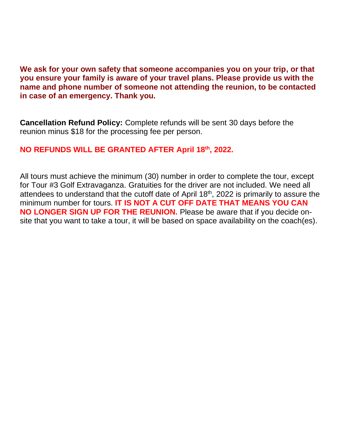**We ask for your own safety that someone accompanies you on your trip, or that you ensure your family is aware of your travel plans. Please provide us with the name and phone number of someone not attending the reunion, to be contacted in case of an emergency. Thank you.**

**Cancellation Refund Policy:** Complete refunds will be sent 30 days before the reunion minus \$18 for the processing fee per person.

### **NO REFUNDS WILL BE GRANTED AFTER April 18th, 2022.**

All tours must achieve the minimum (30) number in order to complete the tour, except for Tour #3 Golf Extravaganza. Gratuities for the driver are not included. We need all attendees to understand that the cutoff date of April 18<sup>th</sup>, 2022 is primarily to assure the minimum number for tours. **IT IS NOT A CUT OFF DATE THAT MEANS YOU CAN NO LONGER SIGN UP FOR THE REUNION.** Please be aware that if you decide onsite that you want to take a tour, it will be based on space availability on the coach(es).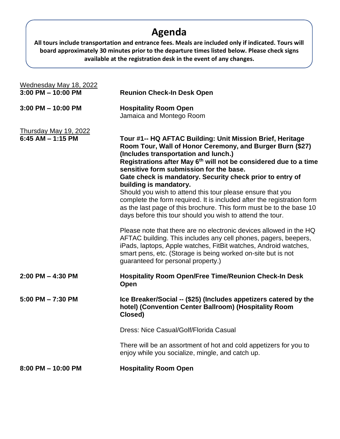## **Agenda**

**All tours include transportation and entrance fees. Meals are included only if indicated. Tours will board approximately 30 minutes prior to the departure times listed below. Please check signs available at the registration desk in the event of any changes.**

| Wednesday May 18, 2022                         |                                                                                                                                                                                                                                                                                                                                                                                                                                                                                                                                                                                                                                                                                                                                    |
|------------------------------------------------|------------------------------------------------------------------------------------------------------------------------------------------------------------------------------------------------------------------------------------------------------------------------------------------------------------------------------------------------------------------------------------------------------------------------------------------------------------------------------------------------------------------------------------------------------------------------------------------------------------------------------------------------------------------------------------------------------------------------------------|
| $3:00$ PM $- 10:00$ PM                         | <b>Reunion Check-In Desk Open</b>                                                                                                                                                                                                                                                                                                                                                                                                                                                                                                                                                                                                                                                                                                  |
| $3:00$ PM $- 10:00$ PM                         | <b>Hospitality Room Open</b><br>Jamaica and Montego Room                                                                                                                                                                                                                                                                                                                                                                                                                                                                                                                                                                                                                                                                           |
| Thursday May 19, 2022<br>$6:45$ AM $-$ 1:15 PM | Tour #1-- HQ AFTAC Building: Unit Mission Brief, Heritage<br>Room Tour, Wall of Honor Ceremony, and Burger Burn (\$27)<br>(Includes transportation and lunch.)<br>Registrations after May 6 <sup>th</sup> will not be considered due to a time<br>sensitive form submission for the base.<br>Gate check is mandatory. Security check prior to entry of<br>building is mandatory.<br>Should you wish to attend this tour please ensure that you<br>complete the form required. It is included after the registration form<br>as the last page of this brochure. This form must be to the base 10<br>days before this tour should you wish to attend the tour.<br>Please note that there are no electronic devices allowed in the HQ |
|                                                | AFTAC building. This includes any cell phones, pagers, beepers,<br>iPads, laptops, Apple watches, FitBit watches, Android watches,<br>smart pens, etc. (Storage is being worked on-site but is not<br>guaranteed for personal property.)                                                                                                                                                                                                                                                                                                                                                                                                                                                                                           |
| $2:00$ PM $-$ 4:30 PM                          | <b>Hospitality Room Open/Free Time/Reunion Check-In Desk</b><br>Open                                                                                                                                                                                                                                                                                                                                                                                                                                                                                                                                                                                                                                                               |
| $5:00$ PM $- 7:30$ PM                          | Ice Breaker/Social -- (\$25) (Includes appetizers catered by the<br>hotel) (Convention Center Ballroom) (Hospitality Room<br>Closed)                                                                                                                                                                                                                                                                                                                                                                                                                                                                                                                                                                                               |
|                                                | Dress: Nice Casual/Golf/Florida Casual                                                                                                                                                                                                                                                                                                                                                                                                                                                                                                                                                                                                                                                                                             |
|                                                | There will be an assortment of hot and cold appetizers for you to<br>enjoy while you socialize, mingle, and catch up.                                                                                                                                                                                                                                                                                                                                                                                                                                                                                                                                                                                                              |
| 8:00 PM - 10:00 PM                             | <b>Hospitality Room Open</b>                                                                                                                                                                                                                                                                                                                                                                                                                                                                                                                                                                                                                                                                                                       |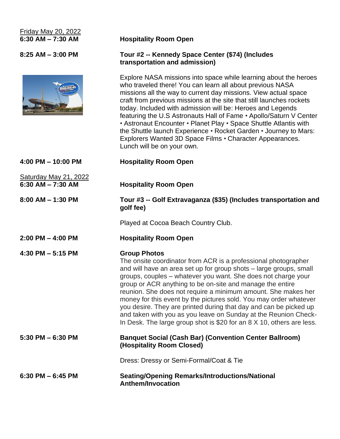# Friday May 20, 2022



#### **6:30 AM – 7:30 AM Hospitality Room Open**

#### **8:25 AM – 3:00 PM Tour #2 -- Kennedy Space Center (\$74) (Includes transportation and admission)**

Explore NASA missions into space while learning about the heroes who traveled there! You can learn all about previous NASA missions all the way to current day missions. View actual space craft from previous missions at the site that still launches rockets today. Included with admission will be: Heroes and Legends featuring the U.S Astronauts Hall of Fame • Apollo/Saturn V Center • Astronaut Encounter • Planet Play • Space Shuttle Atlantis with the Shuttle launch Experience • Rocket Garden • Journey to Mars: Explorers Wanted 3D Space Films • Character Appearances. Lunch will be on your own.

| $4:00$ PM $- 10:00$ PM                         | <b>Hospitality Room Open</b>                                                                                                                                                                                                                                                                                                                                                                                                                                                                                                                                                                                                                     |
|------------------------------------------------|--------------------------------------------------------------------------------------------------------------------------------------------------------------------------------------------------------------------------------------------------------------------------------------------------------------------------------------------------------------------------------------------------------------------------------------------------------------------------------------------------------------------------------------------------------------------------------------------------------------------------------------------------|
| Saturday May 21, 2022<br>$6:30$ AM $- 7:30$ AM | <b>Hospitality Room Open</b>                                                                                                                                                                                                                                                                                                                                                                                                                                                                                                                                                                                                                     |
| $8:00$ AM $-$ 1:30 PM                          | Tour #3 -- Golf Extravaganza (\$35) (Includes transportation and<br>golf fee)                                                                                                                                                                                                                                                                                                                                                                                                                                                                                                                                                                    |
|                                                | Played at Cocoa Beach Country Club.                                                                                                                                                                                                                                                                                                                                                                                                                                                                                                                                                                                                              |
| $2:00$ PM $-$ 4:00 PM                          | <b>Hospitality Room Open</b>                                                                                                                                                                                                                                                                                                                                                                                                                                                                                                                                                                                                                     |
| 4:30 PM $-$ 5:15 PM                            | <b>Group Photos</b><br>The onsite coordinator from ACR is a professional photographer<br>and will have an area set up for group shots - large groups, small<br>groups, couples - whatever you want. She does not charge your<br>group or ACR anything to be on-site and manage the entire<br>reunion. She does not require a minimum amount. She makes her<br>money for this event by the pictures sold. You may order whatever<br>you desire. They are printed during that day and can be picked up<br>and taken with you as you leave on Sunday at the Reunion Check-<br>In Desk. The large group shot is \$20 for an 8 X 10, others are less. |
| $5:30$ PM $-6:30$ PM                           | <b>Banquet Social (Cash Bar) (Convention Center Ballroom)</b><br>(Hospitality Room Closed)                                                                                                                                                                                                                                                                                                                                                                                                                                                                                                                                                       |
|                                                | Dress: Dressy or Semi-Formal/Coat & Tie                                                                                                                                                                                                                                                                                                                                                                                                                                                                                                                                                                                                          |
| $6:30$ PM $-6:45$ PM                           | <b>Seating/Opening Remarks/Introductions/National</b><br><b>Anthem/Invocation</b>                                                                                                                                                                                                                                                                                                                                                                                                                                                                                                                                                                |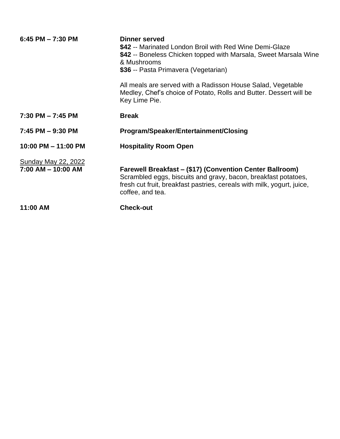| $6:45$ PM $- 7:30$ PM                                | <b>Dinner served</b><br>\$42 -- Marinated London Broil with Red Wine Demi-Glaze<br>\$42 -- Boneless Chicken topped with Marsala, Sweet Marsala Wine<br>& Mushrooms<br>\$36 -- Pasta Primavera (Vegetarian)                      |
|------------------------------------------------------|---------------------------------------------------------------------------------------------------------------------------------------------------------------------------------------------------------------------------------|
|                                                      | All meals are served with a Radisson House Salad, Vegetable<br>Medley, Chef's choice of Potato, Rolls and Butter. Dessert will be<br>Key Lime Pie.                                                                              |
| $7:30$ PM $-7:45$ PM                                 | <b>Break</b>                                                                                                                                                                                                                    |
| $7:45$ PM $-9:30$ PM                                 | Program/Speaker/Entertainment/Closing                                                                                                                                                                                           |
| 10:00 PM - 11:00 PM                                  | <b>Hospitality Room Open</b>                                                                                                                                                                                                    |
| <b>Sunday May 22, 2022</b><br>$7:00$ AM $-$ 10:00 AM | <b>Farewell Breakfast – (\$17) (Convention Center Ballroom)</b><br>Scrambled eggs, biscuits and gravy, bacon, breakfast potatoes,<br>fresh cut fruit, breakfast pastries, cereals with milk, yogurt, juice,<br>coffee, and tea. |
| 11:00 AM                                             | <b>Check-out</b>                                                                                                                                                                                                                |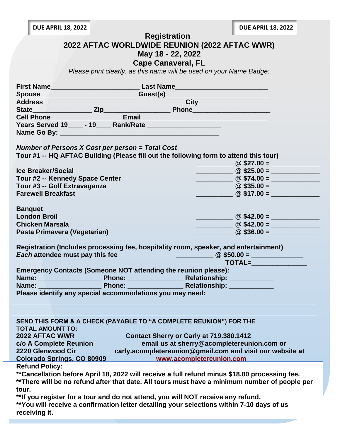**DUE APRIL 18, 2022 DUE APRIL 18, 2022**

 **Registration**

| 2022 AFTAC WORLDWIDE REUNION (2022 AFTAC WWR) |  |  |  |  |
|-----------------------------------------------|--|--|--|--|
|                                               |  |  |  |  |

**May 18 - 22, 2022**

**Cape Canaveral, FL**

*Please print clearly, as this name will be used on your Name Badge:*

|                                                                                                                                                            | State Cell Phone Cell Phone Cell Phone Cell Phone Cell Phone Cell Phone Cell Phone Cell Phone Cell Phone Cell Phone Cell Phone Cell Phone Cell Phone Cell Phone Cell Phone Cell Phone Cell Phone Cell Phone Cell Phone Cell Ph                                                                                      |
|------------------------------------------------------------------------------------------------------------------------------------------------------------|---------------------------------------------------------------------------------------------------------------------------------------------------------------------------------------------------------------------------------------------------------------------------------------------------------------------|
|                                                                                                                                                            |                                                                                                                                                                                                                                                                                                                     |
|                                                                                                                                                            |                                                                                                                                                                                                                                                                                                                     |
|                                                                                                                                                            |                                                                                                                                                                                                                                                                                                                     |
|                                                                                                                                                            |                                                                                                                                                                                                                                                                                                                     |
| Number of Persons X Cost per person = Total Cost                                                                                                           |                                                                                                                                                                                                                                                                                                                     |
|                                                                                                                                                            | Tour #1 -- HQ AFTAC Building (Please fill out the following form to attend this tour)                                                                                                                                                                                                                               |
|                                                                                                                                                            | $\frac{1}{2}$ $\frac{1}{2}$ $\frac{1}{2}$ $\frac{1}{2}$ $\frac{1}{2}$ $\frac{1}{2}$ $\frac{1}{2}$ $\frac{1}{2}$ $\frac{1}{2}$ $\frac{1}{2}$ $\frac{1}{2}$ $\frac{1}{2}$ $\frac{1}{2}$ $\frac{1}{2}$ $\frac{1}{2}$ $\frac{1}{2}$ $\frac{1}{2}$ $\frac{1}{2}$ $\frac{1}{2}$ $\frac{1}{2}$ $\frac{1}{2}$ $\frac{1}{2}$ |
| <b>Ice Breaker/Social</b>                                                                                                                                  |                                                                                                                                                                                                                                                                                                                     |
| Tour #2 -- Kennedy Space Center                                                                                                                            | $\overline{\textcircled{2}$ \$74.00 =                                                                                                                                                                                                                                                                               |
| Tour #3 -- Golf Extravaganza                                                                                                                               | $\frac{1}{2}$ (2 \$35.00 = $\frac{1}{2}$                                                                                                                                                                                                                                                                            |
| <b>Farewell Breakfast</b>                                                                                                                                  |                                                                                                                                                                                                                                                                                                                     |
|                                                                                                                                                            |                                                                                                                                                                                                                                                                                                                     |
| <b>Banquet</b><br><b>London Broil</b>                                                                                                                      |                                                                                                                                                                                                                                                                                                                     |
|                                                                                                                                                            | $\frac{1}{2}$ $\frac{1}{2}$ $\frac{1}{2}$ $\frac{1}{2}$ $\frac{1}{2}$ $\frac{1}{2}$ $\frac{1}{2}$ $\frac{1}{2}$ $\frac{1}{2}$ $\frac{1}{2}$ $\frac{1}{2}$ $\frac{1}{2}$ $\frac{1}{2}$ $\frac{1}{2}$ $\frac{1}{2}$ $\frac{1}{2}$ $\frac{1}{2}$ $\frac{1}{2}$ $\frac{1}{2}$ $\frac{1}{2}$ $\frac{1}{2}$ $\frac{1}{2}$ |
| <b>Chicken Marsala</b>                                                                                                                                     | $\overline{\textcircled{2} \text{ $42.00 = \_}}$                                                                                                                                                                                                                                                                    |
| Pasta Primavera (Vegetarian)                                                                                                                               | $\circledcirc$ \$36.00 =                                                                                                                                                                                                                                                                                            |
|                                                                                                                                                            |                                                                                                                                                                                                                                                                                                                     |
| Each attendee must pay this fee                                                                                                                            | Registration (Includes processing fee, hospitality room, speaker, and entertainment)                                                                                                                                                                                                                                |
|                                                                                                                                                            | $\frac{1}{2}$ and $\frac{1}{2}$ and $\frac{1}{2}$ and $\frac{1}{2}$ $\frac{1}{2}$ $\frac{1}{2}$ $\frac{1}{2}$ $\frac{1}{2}$ $\frac{1}{2}$ $\frac{1}{2}$ $\frac{1}{2}$ $\frac{1}{2}$ $\frac{1}{2}$ $\frac{1}{2}$ $\frac{1}{2}$ $\frac{1}{2}$ $\frac{1}{2}$ $\frac{1}{2}$ $\frac{1}{2}$ $\frac{1}{2}$ $\frac{1}{2}$   |
| <b>Emergency Contacts (Someone NOT attending the reunion please):</b>                                                                                      |                                                                                                                                                                                                                                                                                                                     |
|                                                                                                                                                            |                                                                                                                                                                                                                                                                                                                     |
|                                                                                                                                                            | Name: <u>Name: Name: Phone: Name: Relationship: Nelationship:</u>                                                                                                                                                                                                                                                   |
| Please identify any special accommodations you may need:                                                                                                   |                                                                                                                                                                                                                                                                                                                     |
|                                                                                                                                                            |                                                                                                                                                                                                                                                                                                                     |
|                                                                                                                                                            |                                                                                                                                                                                                                                                                                                                     |
|                                                                                                                                                            |                                                                                                                                                                                                                                                                                                                     |
| SEND THIS FORM & A CHECK (PAYABLE TO "A COMPLETE REUNION") FOR THE                                                                                         |                                                                                                                                                                                                                                                                                                                     |
| <b>TOTAL AMOUNT TO:</b><br>$\mathcal{L}^{\text{max}}_{\text{max}}$ and $\mathcal{L}^{\text{max}}_{\text{max}}$ and $\mathcal{L}^{\text{max}}_{\text{max}}$ |                                                                                                                                                                                                                                                                                                                     |
| 2022 AFTAC WWR                                                                                                                                             | Contact Sherry or Carly at 719.380.1412                                                                                                                                                                                                                                                                             |
| c/o A Complete Reunion                                                                                                                                     | email us at sherry@acompletereunion.com or                                                                                                                                                                                                                                                                          |
| 2220 Glenwood Cir                                                                                                                                          | carly.acompletereunion@gmail.com and visit our website at                                                                                                                                                                                                                                                           |
| <b>Colorado Springs, CO 80909</b>                                                                                                                          | www.acompletereunion.com                                                                                                                                                                                                                                                                                            |
| <b>Refund Policy:</b>                                                                                                                                      |                                                                                                                                                                                                                                                                                                                     |
|                                                                                                                                                            | **Cancellation before April 18, 2022 will receive a full refund minus \$18.00 processing fee.                                                                                                                                                                                                                       |
|                                                                                                                                                            | ** There will be no refund after that date. All tours must have a minimum number of people per                                                                                                                                                                                                                      |
| tour.                                                                                                                                                      |                                                                                                                                                                                                                                                                                                                     |
| ** If you register for a tour and do not attend, you will NOT receive any refund.                                                                          |                                                                                                                                                                                                                                                                                                                     |
|                                                                                                                                                            | **You will receive a confirmation letter detailing your selections within 7-10 days of us                                                                                                                                                                                                                           |
| receiving it.                                                                                                                                              |                                                                                                                                                                                                                                                                                                                     |